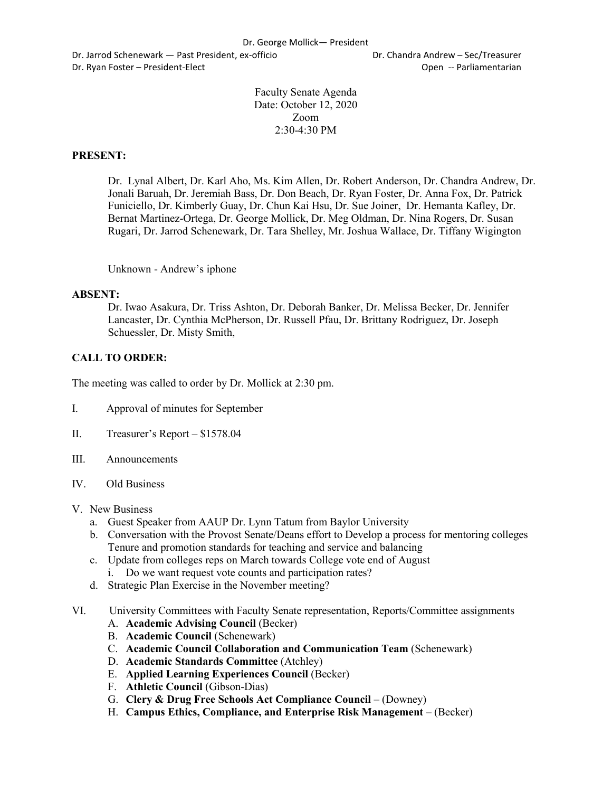Dr. Jarrod Schenewark — Past President, ex-officio Dr. Chandra Andrew – Sec/Treasurer Dr. Ryan Foster – President-Elect Open -- Parliamentarian

Faculty Senate Agenda Date: October 12, 2020 Zoom  $2:30-4:30$  PM

## **PRESENT:**

Dr. Lynal Albert, Dr. Karl Aho, Ms. Kim Allen, Dr. Robert Anderson, Dr. Chandra Andrew, Dr. Jonali Baruah, Dr. Jeremiah Bass, Dr. Don Beach, Dr. Ryan Foster, Dr. Anna Fox, Dr. Patrick Funiciello, Dr. Kimberly Guay, Dr. Chun Kai Hsu, Dr. Sue Joiner, Dr. Hemanta Kafley, Dr. Bernat Martinez-Ortega, Dr. George Mollick, Dr. Meg Oldman, Dr. Nina Rogers, Dr. Susan Rugari, Dr. Jarrod Schenewark, Dr. Tara Shelley, Mr. Joshua Wallace, Dr. Tiffany Wigington

Unknown - Andrew's iphone

### **ABSENT:**

Dr. Iwao Asakura, Dr. Triss Ashton, Dr. Deborah Banker, Dr. Melissa Becker, Dr. Jennifer Lancaster, Dr. Cynthia McPherson, Dr. Russell Pfau, Dr. Brittany Rodriguez, Dr. Joseph Schuessler, Dr. Misty Smith,

## **CALL TO ORDER:**

The meeting was called to order by Dr. Mollick at 2:30 pm.

- I. Approval of minutes for September
- II. Treasurer's Report \$1578.04
- III. Announcements
- IV. Old Business
- V. New Business
	- a. Guest Speaker from AAUP Dr. Lynn Tatum from Baylor University
	- b. Conversation with the Provost Senate/Deans effort to Develop a process for mentoring colleges Tenure and promotion standards for teaching and service and balancing
	- c. Update from colleges reps on March towards College vote end of August i. Do we want request vote counts and participation rates?
	- d. Strategic Plan Exercise in the November meeting?
- VI. University Committees with Faculty Senate representation, Reports/Committee assignments
	- A. **Academic Advising Council** (Becker)
	- B. **Academic Council** (Schenewark)
	- C. **Academic Council Collaboration and Communication Team** (Schenewark)
	- D. **Academic Standards Committee** (Atchley)
	- E. **Applied Learning Experiences Council** (Becker)
	- F. **Athletic Council** (Gibson-Dias)
	- G. **Clery & Drug Free Schools Act Compliance Council** (Downey)
	- H. **Campus Ethics, Compliance, and Enterprise Risk Management**  (Becker)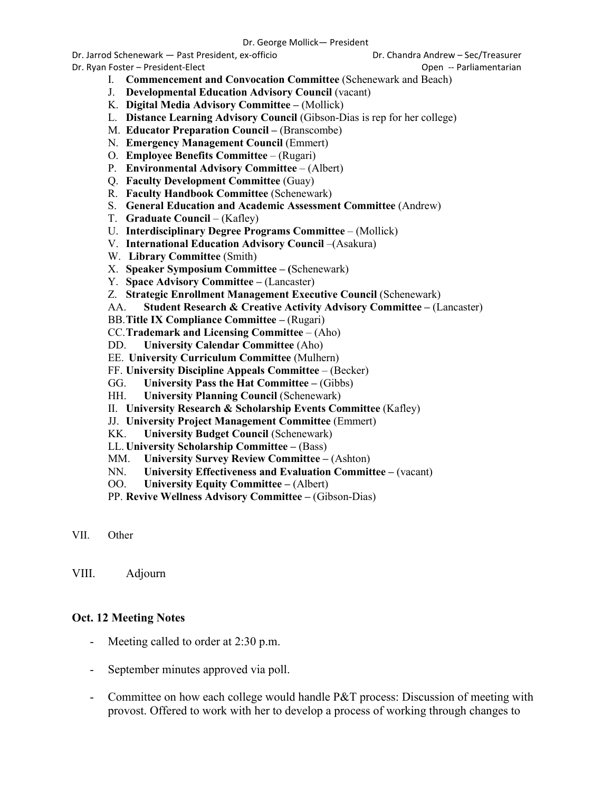Dr. Jarrod Schenewark — Past President, ex-officio Dr. Chandra Andrew – Sec/Treasurer

Dr. Ryan Foster – President-Elect Open -- Parliamentarian

- I. **Commencement and Convocation Committee** (Schenewark and Beach)
- J. **Developmental Education Advisory Council** (vacant)
- K. **Digital Media Advisory Committee –** (Mollick)
- L. **Distance Learning Advisory Council** (Gibson-Dias is rep for her college)
- M. **Educator Preparation Council –** (Branscombe)
- N. **Emergency Management Council** (Emmert)
- O. **Employee Benefits Committee**  (Rugari)
- P. **Environmental Advisory Committee**  (Albert)
- Q. **Faculty Development Committee** (Guay)
- R. **Faculty Handbook Committee** (Schenewark)
- S. **General Education and Academic Assessment Committee** (Andrew)
- T. **Graduate Council**  (Kafley)
- U. **Interdisciplinary Degree Programs Committee**  (Mollick)
- V. **International Education Advisory Council** –(Asakura)
- W. **Library Committee** (Smith)
- X. **Speaker Symposium Committee – (**Schenewark)
- Y. **Space Advisory Committee –** (Lancaster)
- Z. **Strategic Enrollment Management Executive Council** (Schenewark)
- AA. **Student Research & Creative Activity Advisory Committee –** (Lancaster)
- BB.**Title IX Compliance Committee –** (Rugari)
- CC.**Trademark and Licensing Committee**  (Aho)
- DD. **University Calendar Committee** (Aho)
- EE. **University Curriculum Committee** (Mulhern)
- FF. **University Discipline Appeals Committee**  (Becker)
- GG. **University Pass the Hat Committee –** (Gibbs)
- HH. **University Planning Council** (Schenewark)
- II. **University Research & Scholarship Events Committee** (Kafley)
- JJ. **University Project Management Committee** (Emmert)
- KK. **University Budget Council** (Schenewark)
- LL. **University Scholarship Committee –** (Bass)
- MM. **University Survey Review Committee –** (Ashton)
- NN. **University Effectiveness and Evaluation Committee –** (vacant)
- OO. **University Equity Committee –** (Albert)
- PP. **Revive Wellness Advisory Committee –** (Gibson-Dias)

VIII. Adjourn

## **Oct. 12 Meeting Notes**

- Meeting called to order at 2:30 p.m.
- September minutes approved via poll.
- Committee on how each college would handle P&T process: Discussion of meeting with provost. Offered to work with her to develop a process of working through changes to

VII. Other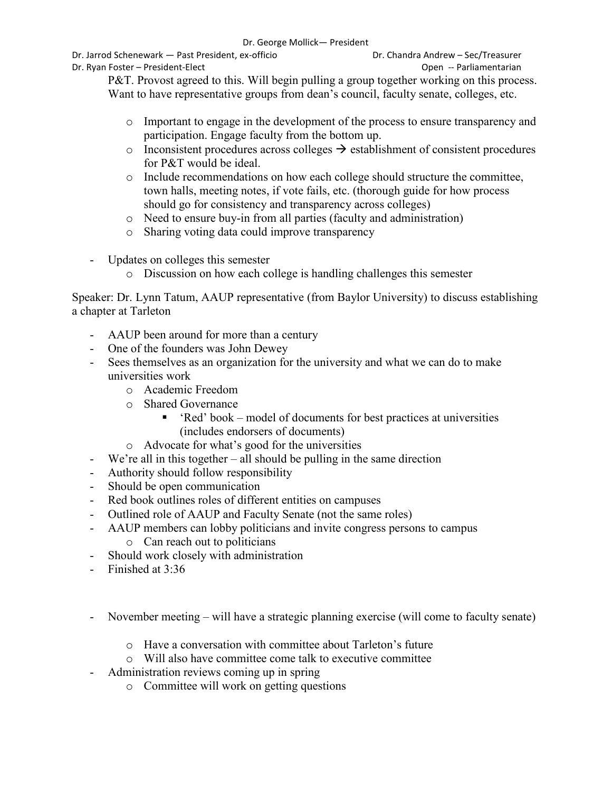Dr. Jarrod Schenewark — Past President, ex-officio Dr. Chandra Andrew – Sec/Treasurer

Dr. Ryan Foster – President-Elect Open -- Parliamentarian

P&T. Provost agreed to this. Will begin pulling a group together working on this process. Want to have representative groups from dean's council, faculty senate, colleges, etc.

- o Important to engage in the development of the process to ensure transparency and participation. Engage faculty from the bottom up.
- $\circ$  Inconsistent procedures across colleges  $\rightarrow$  establishment of consistent procedures for P&T would be ideal.
- o Include recommendations on how each college should structure the committee, town halls, meeting notes, if vote fails, etc. (thorough guide for how process should go for consistency and transparency across colleges)
- o Need to ensure buy-in from all parties (faculty and administration)
- o Sharing voting data could improve transparency
- Updates on colleges this semester
	- o Discussion on how each college is handling challenges this semester

Speaker: Dr. Lynn Tatum, AAUP representative (from Baylor University) to discuss establishing a chapter at Tarleton

- AAUP been around for more than a century
- One of the founders was John Dewey
- Sees themselves as an organization for the university and what we can do to make universities work
	- o Academic Freedom
	- o Shared Governance
		- 'Red' book model of documents for best practices at universities (includes endorsers of documents)
	- o Advocate for what's good for the universities
- We're all in this together all should be pulling in the same direction
- Authority should follow responsibility
- Should be open communication
- Red book outlines roles of different entities on campuses
- Outlined role of AAUP and Faculty Senate (not the same roles)
- AAUP members can lobby politicians and invite congress persons to campus o Can reach out to politicians
- Should work closely with administration
- Finished at 3:36
- November meeting will have a strategic planning exercise (will come to faculty senate)
	- o Have a conversation with committee about Tarleton's future
	- o Will also have committee come talk to executive committee
- Administration reviews coming up in spring
	- o Committee will work on getting questions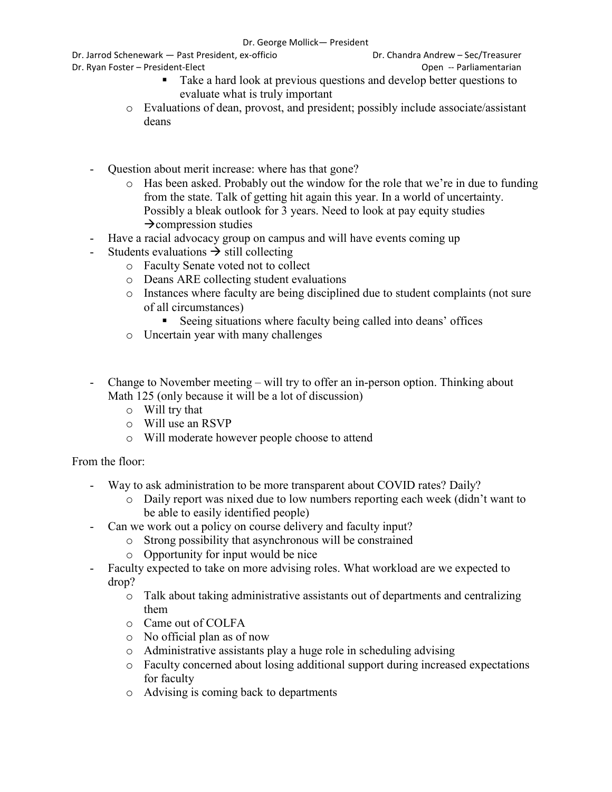## Dr. George Mollick— President

Dr. Jarrod Schenewark — Past President, ex-officio Dr. Chandra Andrew – Sec/Treasurer

Dr. Ryan Foster – President-Elect Open -- Parliamentarian

- 
- Take a hard look at previous questions and develop better questions to evaluate what is truly important
- o Evaluations of dean, provost, and president; possibly include associate/assistant deans
- Question about merit increase: where has that gone?
	- o Has been asked. Probably out the window for the role that we're in due to funding from the state. Talk of getting hit again this year. In a world of uncertainty. Possibly a bleak outlook for 3 years. Need to look at pay equity studies  $\rightarrow$  compression studies
- Have a racial advocacy group on campus and will have events coming up
- Students evaluations  $\rightarrow$  still collecting
	- o Faculty Senate voted not to collect
	- o Deans ARE collecting student evaluations
	- o Instances where faculty are being disciplined due to student complaints (not sure of all circumstances)
		- Seeing situations where faculty being called into deans' offices
	- o Uncertain year with many challenges
- Change to November meeting will try to offer an in-person option. Thinking about Math 125 (only because it will be a lot of discussion)
	- o Will try that
	- o Will use an RSVP
	- o Will moderate however people choose to attend

# From the floor:

- Way to ask administration to be more transparent about COVID rates? Daily?
	- o Daily report was nixed due to low numbers reporting each week (didn't want to be able to easily identified people)
	- Can we work out a policy on course delivery and faculty input?
		- o Strong possibility that asynchronous will be constrained
		- o Opportunity for input would be nice
- Faculty expected to take on more advising roles. What workload are we expected to drop?
	- o Talk about taking administrative assistants out of departments and centralizing them
	- o Came out of COLFA
	- o No official plan as of now
	- o Administrative assistants play a huge role in scheduling advising
	- o Faculty concerned about losing additional support during increased expectations for faculty
	- o Advising is coming back to departments